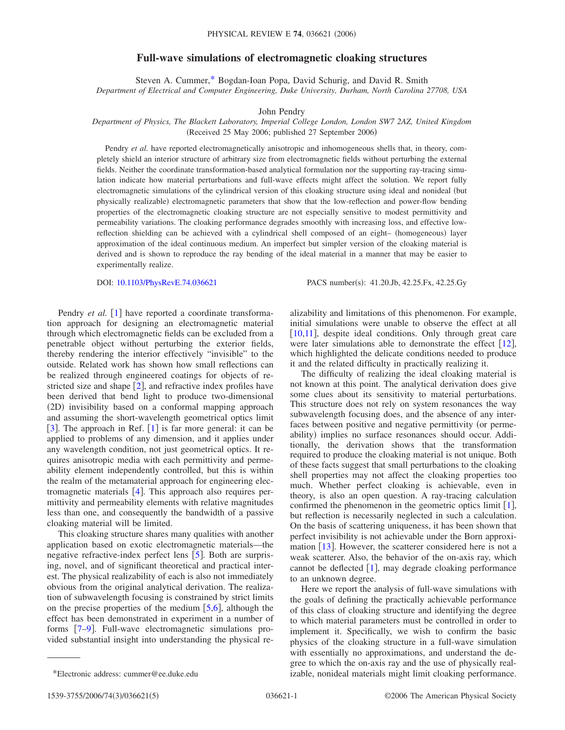## **Full-wave simulations of electromagnetic cloaking structures**

Steven A. Cummer[,\\*](#page-0-0) Bogdan-Ioan Popa, David Schurig, and David R. Smith *Department of Electrical and Computer Engineering, Duke University, Durham, North Carolina 27708, USA*

John Pendry

## *Department of Physics, The Blackett Laboratory, Imperial College London, London SW7 2AZ, United Kingdom* (Received 25 May 2006; published 27 September 2006)

Pendry *et al.* have reported electromagnetically anisotropic and inhomogeneous shells that, in theory, completely shield an interior structure of arbitrary size from electromagnetic fields without perturbing the external fields. Neither the coordinate transformation-based analytical formulation nor the supporting ray-tracing simulation indicate how material perturbations and full-wave effects might affect the solution. We report fully electromagnetic simulations of the cylindrical version of this cloaking structure using ideal and nonideal but physically realizable) electromagnetic parameters that show that the low-reflection and power-flow bending properties of the electromagnetic cloaking structure are not especially sensitive to modest permittivity and permeability variations. The cloaking performance degrades smoothly with increasing loss, and effective lowreflection shielding can be achieved with a cylindrical shell composed of an eight- (homogeneous) layer approximation of the ideal continuous medium. An imperfect but simpler version of the cloaking material is derived and is shown to reproduce the ray bending of the ideal material in a manner that may be easier to experimentally realize.

DOI: [10.1103/PhysRevE.74.036621](http://dx.doi.org/10.1103/PhysRevE.74.036621)

PACS number(s): 41.20.Jb, 42.25.Fx, 42.25.Gy

Pendry *et al.* [[1](#page-4-0)] have reported a coordinate transformation approach for designing an electromagnetic material through which electromagnetic fields can be excluded from a penetrable object without perturbing the exterior fields, thereby rendering the interior effectively "invisible" to the outside. Related work has shown how small reflections can be realized through engineered coatings for objects of restricted size and shape  $\lceil 2 \rceil$  $\lceil 2 \rceil$  $\lceil 2 \rceil$ , and refractive index profiles have been derived that bend light to produce two-dimensional (2D) invisibility based on a conformal mapping approach and assuming the short-wavelength geometrical optics limit [[3](#page-4-2)]. The approach in Ref.  $[1]$  $[1]$  $[1]$  is far more general: it can be applied to problems of any dimension, and it applies under any wavelength condition, not just geometrical optics. It requires anisotropic media with each permittivity and permeability element independently controlled, but this is within the realm of the metamaterial approach for engineering electromagnetic materials  $[4]$  $[4]$  $[4]$ . This approach also requires permittivity and permeability elements with relative magnitudes less than one, and consequently the bandwidth of a passive cloaking material will be limited.

This cloaking structure shares many qualities with another application based on exotic electromagnetic materials—the negative refractive-index perfect lens  $\lceil 5 \rceil$  $\lceil 5 \rceil$  $\lceil 5 \rceil$ . Both are surprising, novel, and of significant theoretical and practical interest. The physical realizability of each is also not immediately obvious from the original analytical derivation. The realization of subwavelength focusing is constrained by strict limits on the precise properties of the medium  $[5,6]$  $[5,6]$  $[5,6]$  $[5,6]$ , although the effect has been demonstrated in experiment in a number of forms [[7–](#page-4-6)[9](#page-4-7)]. Full-wave electromagnetic simulations provided substantial insight into understanding the physical realizability and limitations of this phenomenon. For example, initial simulations were unable to observe the effect at all [[10](#page-4-8)[,11](#page-4-9)], despite ideal conditions. Only through great care were later simulations able to demonstrate the effect  $[12]$  $[12]$  $[12]$ , which highlighted the delicate conditions needed to produce it and the related difficulty in practically realizing it.

The difficulty of realizing the ideal cloaking material is not known at this point. The analytical derivation does give some clues about its sensitivity to material perturbations. This structure does not rely on system resonances the way subwavelength focusing does, and the absence of any interfaces between positive and negative permittivity (or permeability) implies no surface resonances should occur. Additionally, the derivation shows that the transformation required to produce the cloaking material is not unique. Both of these facts suggest that small perturbations to the cloaking shell properties may not affect the cloaking properties too much. Whether perfect cloaking is achievable, even in theory, is also an open question. A ray-tracing calculation confirmed the phenomenon in the geometric optics limit  $[1]$  $[1]$  $[1]$ , but reflection is necessarily neglected in such a calculation. On the basis of scattering uniqueness, it has been shown that perfect invisibility is not achievable under the Born approximation  $\lceil 13 \rceil$  $\lceil 13 \rceil$  $\lceil 13 \rceil$ . However, the scatterer considered here is not a weak scatterer. Also, the behavior of the on-axis ray, which cannot be deflected  $[1]$  $[1]$  $[1]$ , may degrade cloaking performance to an unknown degree.

Here we report the analysis of full-wave simulations with the goals of defining the practically achievable performance of this class of cloaking structure and identifying the degree to which material parameters must be controlled in order to implement it. Specifically, we wish to confirm the basic physics of the cloaking structure in a full-wave simulation with essentially no approximations, and understand the degree to which the on-axis ray and the use of physically real- \*Electronic address: cummer@ee.duke.edu izable, nonideal materials might limit cloaking performance.

<span id="page-0-0"></span>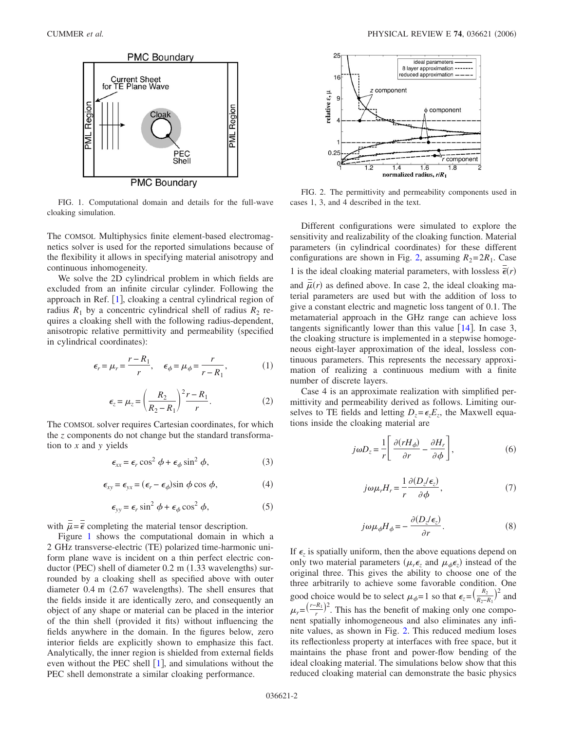<span id="page-1-0"></span>

FIG. 1. Computational domain and details for the full-wave cloaking simulation.

The COMSOL Multiphysics finite element-based electromagnetics solver is used for the reported simulations because of the flexibility it allows in specifying material anisotropy and continuous inhomogeneity.

We solve the 2D cylindrical problem in which fields are excluded from an infinite circular cylinder. Following the approach in Ref.  $[1]$  $[1]$  $[1]$ , cloaking a central cylindrical region of radius  $R_1$  by a concentric cylindrical shell of radius  $R_2$  requires a cloaking shell with the following radius-dependent, anisotropic relative permittivity and permeability (specified in cylindrical coordinates):

$$
\epsilon_r = \mu_r = \frac{r - R_1}{r}, \quad \epsilon_\phi = \mu_\phi = \frac{r}{r - R_1}, \tag{1}
$$

$$
\epsilon_z = \mu_z = \left(\frac{R_2}{R_2 - R_1}\right)^2 \frac{r - R_1}{r}.\tag{2}
$$

The COMSOL solver requires Cartesian coordinates, for which the *z* components do not change but the standard transformation to *x* and *y* yields

$$
\epsilon_{xx} = \epsilon_r \cos^2 \phi + \epsilon_\phi \sin^2 \phi, \tag{3}
$$

$$
\epsilon_{xy} = \epsilon_{yx} = (\epsilon_r - \epsilon_\phi)\sin\phi\cos\phi,\tag{4}
$$

$$
\epsilon_{yy} = \epsilon_r \sin^2 \phi + \epsilon_\phi \cos^2 \phi, \qquad (5)
$$

with  $\bar{\vec{\mu}} = \bar{\vec{\epsilon}}$  completing the material tensor description.

Figure [1](#page-1-0) shows the computational domain in which a 2 GHz transverse-electric (TE) polarized time-harmonic uniform plane wave is incident on a thin perfect electric conductor (PEC) shell of diameter 0.2 m (1.33 wavelengths) surrounded by a cloaking shell as specified above with outer diameter 0.4 m (2.67 wavelengths). The shell ensures that the fields inside it are identically zero, and consequently an object of any shape or material can be placed in the interior of the thin shell (provided it fits) without influencing the fields anywhere in the domain. In the figures below, zero interior fields are explicitly shown to emphasize this fact. Analytically, the inner region is shielded from external fields even without the PEC shell  $[1]$  $[1]$  $[1]$ , and simulations without the PEC shell demonstrate a similar cloaking performance.

<span id="page-1-1"></span>

FIG. 2. The permittivity and permeability components used in cases 1, 3, and 4 described in the text.

Different configurations were simulated to explore the sensitivity and realizability of the cloaking function. Material parameters (in cylindrical coordinates) for these different configurations are shown in Fig. [2,](#page-1-1) assuming  $R_2 = 2R_1$ . Case 1 is the ideal cloaking material parameters, with lossless  $\overline{\vec{\epsilon}}(r)$ and  $\bar{\bar{\mu}}(r)$  as defined above. In case 2, the ideal cloaking material parameters are used but with the addition of loss to give a constant electric and magnetic loss tangent of 0.1. The metamaterial approach in the GHz range can achieve loss tangents significantly lower than this value  $\lceil 14 \rceil$  $\lceil 14 \rceil$  $\lceil 14 \rceil$ . In case 3, the cloaking structure is implemented in a stepwise homogeneous eight-layer approximation of the ideal, lossless continuous parameters. This represents the necessary approximation of realizing a continuous medium with a finite number of discrete layers.

Case 4 is an approximate realization with simplified permittivity and permeability derived as follows. Limiting ourselves to TE fields and letting  $D_z = \epsilon_z E_z$ , the Maxwell equations inside the cloaking material are

$$
j\omega D_z = \frac{1}{r} \left[ \frac{\partial (rH_\phi)}{\partial r} - \frac{\partial H_r}{\partial \phi} \right],\tag{6}
$$

$$
j\omega\mu_r H_r = \frac{1}{r} \frac{\partial (D_z/\epsilon_z)}{\partial \phi},\tag{7}
$$

$$
j\omega\mu_{\phi}H_{\phi} = -\frac{\partial(D_{z}/\epsilon_{z})}{\partial r}.
$$
 (8)

If  $\epsilon$ <sub>z</sub> is spatially uniform, then the above equations depend on only two material parameters  $(\mu_r \epsilon_z)$  and  $\mu_\phi \epsilon_z$ ) instead of the original three. This gives the ability to choose one of the three arbitrarily to achieve some favorable condition. One good choice would be to select  $\mu_{\phi} = 1$  so that  $\epsilon_z = (\frac{R_2}{R_2 - R_1})^2$  and  $\mu_r = \left(\frac{r-R_1}{r}\right)^2$ . This has the benefit of making only one component spatially inhomogeneous and also eliminates any infinite values, as shown in Fig. [2.](#page-1-1) This reduced medium loses its reflectionless property at interfaces with free space, but it maintains the phase front and power-flow bending of the ideal cloaking material. The simulations below show that this reduced cloaking material can demonstrate the basic physics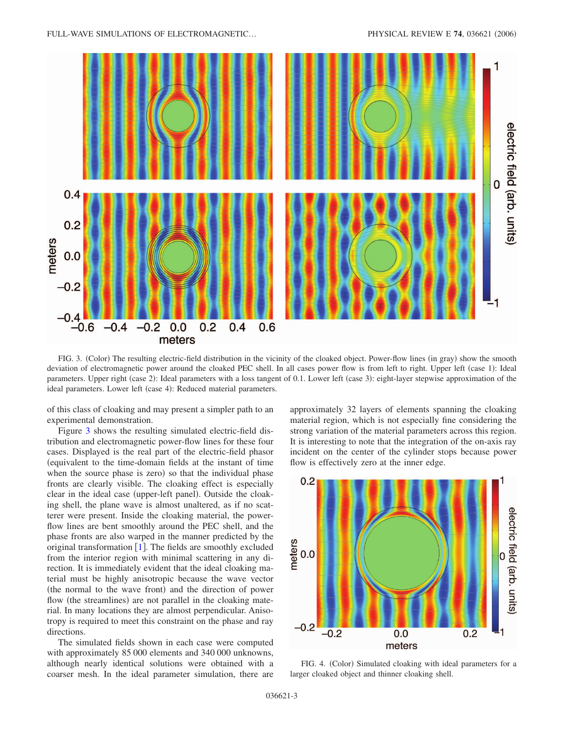<span id="page-2-0"></span>

FIG. 3. (Color) The resulting electric-field distribution in the vicinity of the cloaked object. Power-flow lines (in gray) show the smooth deviation of electromagnetic power around the cloaked PEC shell. In all cases power flow is from left to right. Upper left (case 1): Ideal parameters. Upper right (case 2): Ideal parameters with a loss tangent of 0.1. Lower left (case 3): eight-layer stepwise approximation of the ideal parameters. Lower left (case 4): Reduced material parameters.

of this class of cloaking and may present a simpler path to an experimental demonstration.

Figure [3](#page-2-0) shows the resulting simulated electric-field distribution and electromagnetic power-flow lines for these four cases. Displayed is the real part of the electric-field phasor equivalent to the time-domain fields at the instant of time when the source phase is zero) so that the individual phase fronts are clearly visible. The cloaking effect is especially clear in the ideal case (upper-left panel). Outside the cloaking shell, the plane wave is almost unaltered, as if no scatterer were present. Inside the cloaking material, the powerflow lines are bent smoothly around the PEC shell, and the phase fronts are also warped in the manner predicted by the original transformation  $[1]$  $[1]$  $[1]$ . The fields are smoothly excluded from the interior region with minimal scattering in any direction. It is immediately evident that the ideal cloaking material must be highly anisotropic because the wave vector (the normal to the wave front) and the direction of power flow (the streamlines) are not parallel in the cloaking material. In many locations they are almost perpendicular. Anisotropy is required to meet this constraint on the phase and ray directions.

The simulated fields shown in each case were computed with approximately 85 000 elements and 340 000 unknowns, although nearly identical solutions were obtained with a coarser mesh. In the ideal parameter simulation, there are approximately 32 layers of elements spanning the cloaking material region, which is not especially fine considering the strong variation of the material parameters across this region. It is interesting to note that the integration of the on-axis ray incident on the center of the cylinder stops because power flow is effectively zero at the inner edge.

<span id="page-2-1"></span>

FIG. 4. (Color) Simulated cloaking with ideal parameters for a larger cloaked object and thinner cloaking shell.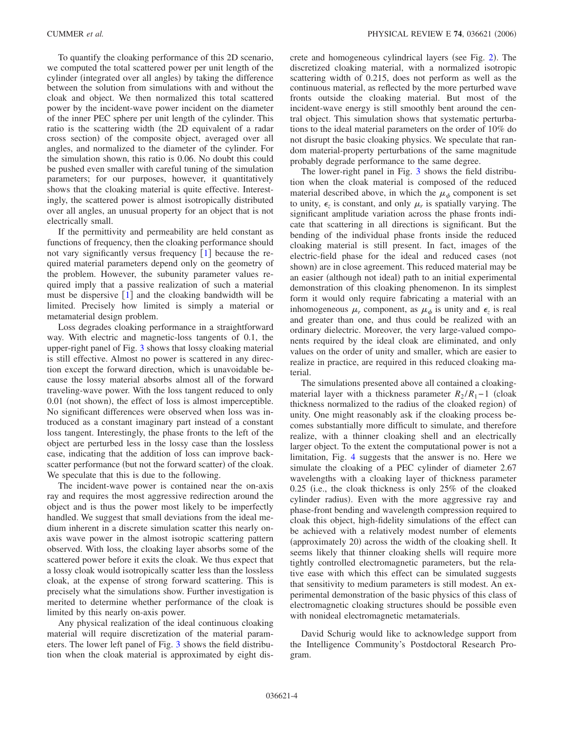To quantify the cloaking performance of this 2D scenario, we computed the total scattered power per unit length of the cylinder (integrated over all angles) by taking the difference between the solution from simulations with and without the cloak and object. We then normalized this total scattered power by the incident-wave power incident on the diameter of the inner PEC sphere per unit length of the cylinder. This ratio is the scattering width (the 2D equivalent of a radar cross section) of the composite object, averaged over all angles, and normalized to the diameter of the cylinder. For the simulation shown, this ratio is 0.06. No doubt this could be pushed even smaller with careful tuning of the simulation parameters; for our purposes, however, it quantitatively shows that the cloaking material is quite effective. Interestingly, the scattered power is almost isotropically distributed over all angles, an unusual property for an object that is not electrically small.

If the permittivity and permeability are held constant as functions of frequency, then the cloaking performance should not vary significantly versus frequency  $\lceil 1 \rceil$  $\lceil 1 \rceil$  $\lceil 1 \rceil$  because the required material parameters depend only on the geometry of the problem. However, the subunity parameter values required imply that a passive realization of such a material must be dispersive  $\lceil 1 \rceil$  $\lceil 1 \rceil$  $\lceil 1 \rceil$  and the cloaking bandwidth will be limited. Precisely how limited is simply a material or metamaterial design problem.

Loss degrades cloaking performance in a straightforward way. With electric and magnetic-loss tangents of 0.1, the upper-right panel of Fig. [3](#page-2-0) shows that lossy cloaking material is still effective. Almost no power is scattered in any direction except the forward direction, which is unavoidable because the lossy material absorbs almost all of the forward traveling-wave power. With the loss tangent reduced to only 0.01 (not shown), the effect of loss is almost imperceptible. No significant differences were observed when loss was introduced as a constant imaginary part instead of a constant loss tangent. Interestingly, the phase fronts to the left of the object are perturbed less in the lossy case than the lossless case, indicating that the addition of loss can improve backscatter performance (but not the forward scatter) of the cloak. We speculate that this is due to the following.

The incident-wave power is contained near the on-axis ray and requires the most aggressive redirection around the object and is thus the power most likely to be imperfectly handled. We suggest that small deviations from the ideal medium inherent in a discrete simulation scatter this nearly onaxis wave power in the almost isotropic scattering pattern observed. With loss, the cloaking layer absorbs some of the scattered power before it exits the cloak. We thus expect that a lossy cloak would isotropically scatter less than the lossless cloak, at the expense of strong forward scattering. This is precisely what the simulations show. Further investigation is merited to determine whether performance of the cloak is limited by this nearly on-axis power.

Any physical realization of the ideal continuous cloaking material will require discretization of the material parameters. The lower left panel of Fig. [3](#page-2-0) shows the field distribution when the cloak material is approximated by eight dis-

crete and homogeneous cylindrical layers (see Fig. [2](#page-1-1)). The discretized cloaking material, with a normalized isotropic scattering width of 0.215, does not perform as well as the continuous material, as reflected by the more perturbed wave fronts outside the cloaking material. But most of the incident-wave energy is still smoothly bent around the central object. This simulation shows that systematic perturbations to the ideal material parameters on the order of 10% do not disrupt the basic cloaking physics. We speculate that random material-property perturbations of the same magnitude probably degrade performance to the same degree.

The lower-right panel in Fig. [3](#page-2-0) shows the field distribution when the cloak material is composed of the reduced material described above, in which the  $\mu_{\phi}$  component is set to unity,  $\epsilon_z$  is constant, and only  $\mu_r$  is spatially varying. The significant amplitude variation across the phase fronts indicate that scattering in all directions is significant. But the bending of the individual phase fronts inside the reduced cloaking material is still present. In fact, images of the electric-field phase for the ideal and reduced cases (not shown) are in close agreement. This reduced material may be an easier (although not ideal) path to an initial experimental demonstration of this cloaking phenomenon. In its simplest form it would only require fabricating a material with an inhomogeneous  $\mu_r$  component, as  $\mu_{\phi}$  is unity and  $\epsilon_z$  is real and greater than one, and thus could be realized with an ordinary dielectric. Moreover, the very large-valued components required by the ideal cloak are eliminated, and only values on the order of unity and smaller, which are easier to realize in practice, are required in this reduced cloaking material.

The simulations presented above all contained a cloakingmaterial layer with a thickness parameter  $R_2 / R_1 - 1$  (cloak thickness normalized to the radius of the cloaked region) of unity. One might reasonably ask if the cloaking process becomes substantially more difficult to simulate, and therefore realize, with a thinner cloaking shell and an electrically larger object. To the extent the computational power is not a limitation, Fig. [4](#page-2-1) suggests that the answer is no. Here we simulate the cloaking of a PEC cylinder of diameter 2.67 wavelengths with a cloaking layer of thickness parameter  $0.25$  (i.e., the cloak thickness is only  $25\%$  of the cloaked cylinder radius). Even with the more aggressive ray and phase-front bending and wavelength compression required to cloak this object, high-fidelity simulations of the effect can be achieved with a relatively modest number of elements (approximately 20) across the width of the cloaking shell. It seems likely that thinner cloaking shells will require more tightly controlled electromagnetic parameters, but the relative ease with which this effect can be simulated suggests that sensitivity to medium parameters is still modest. An experimental demonstration of the basic physics of this class of electromagnetic cloaking structures should be possible even with nonideal electromagnetic metamaterials.

David Schurig would like to acknowledge support from the Intelligence Community's Postdoctoral Research Program.